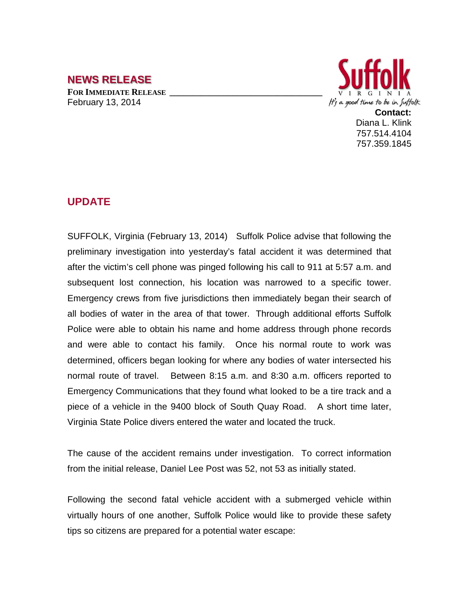# **NEWS RELEASE**

FOR **IMMEDIATE RELEASE** February 13, 2014



757.514.4104 757.359.1845

### **UPDATE**

SUFFOLK, Virginia (February 13, 2014) Suffolk Police advise that following the preliminary investigation into yesterday's fatal accident it was determined that after the victim's cell phone was pinged following his call to 911 at 5:57 a.m. and subsequent lost connection, his location was narrowed to a specific tower. Emergency crews from five jurisdictions then immediately began their search of all bodies of water in the area of that tower. Through additional efforts Suffolk Police were able to obtain his name and home address through phone records and were able to contact his family. Once his normal route to work was determined, officers began looking for where any bodies of water intersected his normal route of travel. Between 8:15 a.m. and 8:30 a.m. officers reported to Emergency Communications that they found what looked to be a tire track and a piece of a vehicle in the 9400 block of South Quay Road. A short time later, Virginia State Police divers entered the water and located the truck.

The cause of the accident remains under investigation. To correct information from the initial release, Daniel Lee Post was 52, not 53 as initially stated.

Following the second fatal vehicle accident with a submerged vehicle within virtually hours of one another, Suffolk Police would like to provide these safety tips so citizens are prepared for a potential water escape: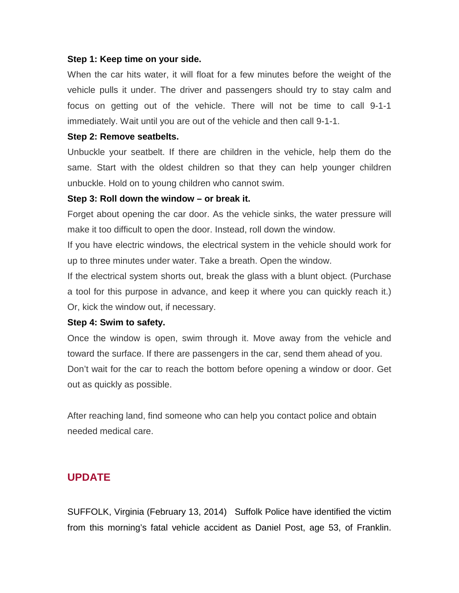#### **Step 1: Keep time on your side.**

When the car hits water, it will float for a few minutes before the weight of the vehicle pulls it under. The driver and passengers should try to stay calm and focus on getting out of the vehicle. There will not be time to call 9-1-1 immediately. Wait until you are out of the vehicle and then call 9-1-1.

#### **Step 2: Remove seatbelts.**

Unbuckle your seatbelt. If there are children in the vehicle, help them do the same. Start with the oldest children so that they can help younger children unbuckle. Hold on to young children who cannot swim.

#### **Step 3: Roll down the window – or break it.**

Forget about opening the car door. As the vehicle sinks, the water pressure will make it too difficult to open the door. Instead, roll down the window.

If you have electric windows, the electrical system in the vehicle should work for up to three minutes under water. Take a breath. Open the window.

If the electrical system shorts out, break the glass with a blunt object. (Purchase a tool for this purpose in advance, and keep it where you can quickly reach it.) Or, kick the window out, if necessary.

#### **Step 4: Swim to safety.**

Once the window is open, swim through it. Move away from the vehicle and toward the surface. If there are passengers in the car, send them ahead of you. Don't wait for the car to reach the bottom before opening a window or door. Get out as quickly as possible.

After reaching land, find someone who can help you contact police and obtain needed medical care.

### **UPDATE**

SUFFOLK, Virginia (February 13, 2014) Suffolk Police have identified the victim from this morning's fatal vehicle accident as Daniel Post, age 53, of Franklin.